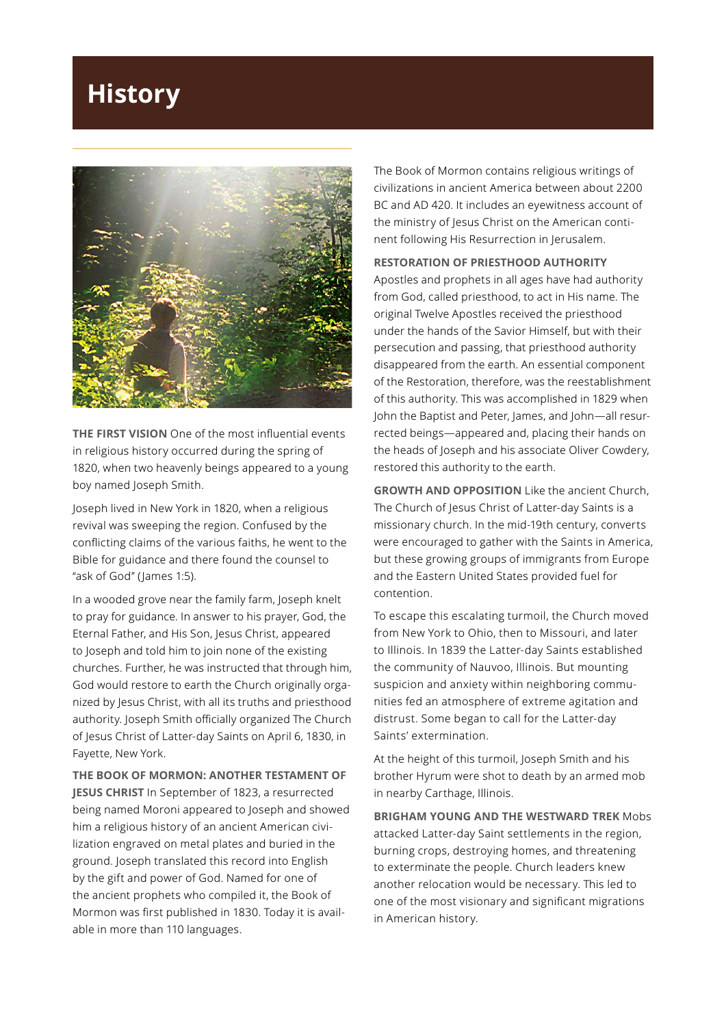## **History**



**THE FIRST VISION** One of the most influential events in religious history occurred during the spring of 1820, when two heavenly beings appeared to a young boy named Joseph Smith.

Joseph lived in New York in 1820, when a religious revival was sweeping the region. Confused by the conflicting claims of the various faiths, he went to the Bible for guidance and there found the counsel to "ask of God" (James 1:5).

In a wooded grove near the family farm, Joseph knelt to pray for guidance. In answer to his prayer, God, the Eternal Father, and His Son, Jesus Christ, appeared to Joseph and told him to join none of the existing churches. Further, he was instructed that through him, God would restore to earth the Church originally organized by Jesus Christ, with all its truths and priesthood authority. Joseph Smith officially organized The Church of Jesus Christ of Latter-day Saints on April 6, 1830, in Fayette, New York.

**THE BOOK OF MORMON: ANOTHER TESTAMENT OF** 

**JESUS CHRIST** In September of 1823, a resurrected being named Moroni appeared to Joseph and showed him a religious history of an ancient American civilization engraved on metal plates and buried in the ground. Joseph translated this record into English by the gift and power of God. Named for one of the ancient prophets who compiled it, the Book of Mormon was first published in 1830. Today it is available in more than 110 languages.

The Book of Mormon contains religious writings of civilizations in ancient America between about 2200 BC and AD 420. It includes an eyewitness account of the ministry of Jesus Christ on the American continent following His Resurrection in Jerusalem.

## **RESTORATION OF PRIESTHOOD AUTHORITY**

Apostles and prophets in all ages have had authority from God, called priesthood, to act in His name. The original Twelve Apostles received the priesthood under the hands of the Savior Himself, but with their persecution and passing, that priesthood authority disappeared from the earth. An essential component of the Restoration, therefore, was the reestablishment of this authority. This was accomplished in 1829 when John the Baptist and Peter, James, and John—all resurrected beings—appeared and, placing their hands on the heads of Joseph and his associate Oliver Cowdery, restored this authority to the earth.

**GROWTH AND OPPOSITION** Like the ancient Church, The Church of Jesus Christ of Latter-day Saints is a missionary church. In the mid-19th century, converts were encouraged to gather with the Saints in America, but these growing groups of immigrants from Europe and the Eastern United States provided fuel for contention.

To escape this escalating turmoil, the Church moved from New York to Ohio, then to Missouri, and later to Illinois. In 1839 the Latter-day Saints established the community of Nauvoo, Illinois. But mounting suspicion and anxiety within neighboring communities fed an atmosphere of extreme agitation and distrust. Some began to call for the Latter-day Saints' extermination.

At the height of this turmoil, Joseph Smith and his brother Hyrum were shot to death by an armed mob in nearby Carthage, Illinois.

**BRIGHAM YOUNG AND THE WESTWARD TREK** Mobs attacked Latter-day Saint settlements in the region, burning crops, destroying homes, and threatening to exterminate the people. Church leaders knew another relocation would be necessary. This led to one of the most visionary and significant migrations in American history.